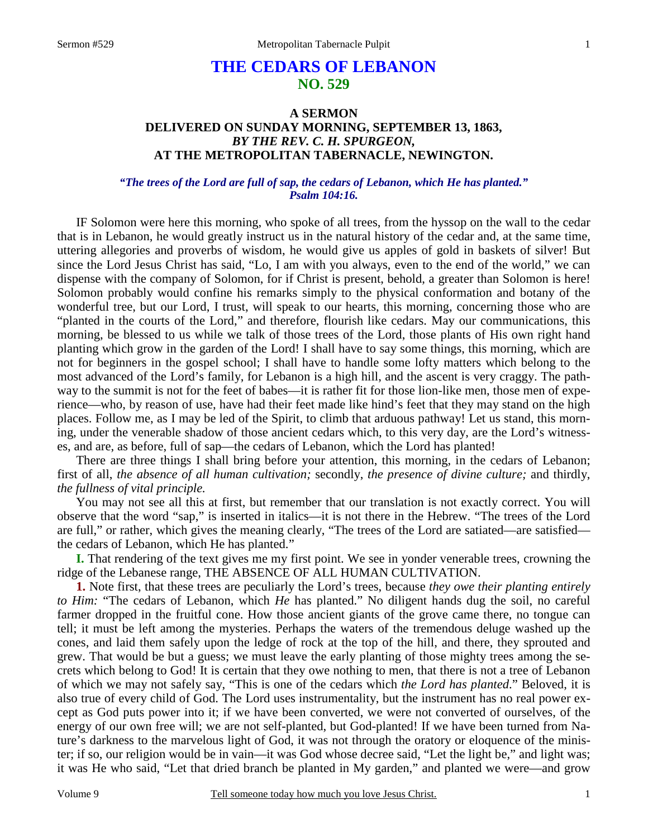# **THE CEDARS OF LEBANON NO. 529**

## **A SERMON DELIVERED ON SUNDAY MORNING, SEPTEMBER 13, 1863,**  *BY THE REV. C. H. SPURGEON,*  **AT THE METROPOLITAN TABERNACLE, NEWINGTON.**

### *"The trees of the Lord are full of sap, the cedars of Lebanon, which He has planted." Psalm 104:16.*

IF Solomon were here this morning, who spoke of all trees, from the hyssop on the wall to the cedar that is in Lebanon, he would greatly instruct us in the natural history of the cedar and, at the same time, uttering allegories and proverbs of wisdom, he would give us apples of gold in baskets of silver! But since the Lord Jesus Christ has said, "Lo, I am with you always, even to the end of the world," we can dispense with the company of Solomon, for if Christ is present, behold, a greater than Solomon is here! Solomon probably would confine his remarks simply to the physical conformation and botany of the wonderful tree, but our Lord, I trust, will speak to our hearts, this morning, concerning those who are "planted in the courts of the Lord," and therefore, flourish like cedars. May our communications, this morning, be blessed to us while we talk of those trees of the Lord, those plants of His own right hand planting which grow in the garden of the Lord! I shall have to say some things, this morning, which are not for beginners in the gospel school; I shall have to handle some lofty matters which belong to the most advanced of the Lord's family, for Lebanon is a high hill, and the ascent is very craggy. The pathway to the summit is not for the feet of babes—it is rather fit for those lion-like men, those men of experience—who, by reason of use, have had their feet made like hind's feet that they may stand on the high places. Follow me, as I may be led of the Spirit, to climb that arduous pathway! Let us stand, this morning, under the venerable shadow of those ancient cedars which, to this very day, are the Lord's witnesses, and are, as before, full of sap—the cedars of Lebanon, which the Lord has planted!

There are three things I shall bring before your attention, this morning, in the cedars of Lebanon; first of all, *the absence of all human cultivation;* secondly, *the presence of divine culture;* and thirdly, *the fullness of vital principle.* 

You may not see all this at first, but remember that our translation is not exactly correct. You will observe that the word "sap," is inserted in italics—it is not there in the Hebrew. "The trees of the Lord are full," or rather, which gives the meaning clearly, "The trees of the Lord are satiated—are satisfied the cedars of Lebanon, which He has planted."

**I.** That rendering of the text gives me my first point. We see in yonder venerable trees, crowning the ridge of the Lebanese range, THE ABSENCE OF ALL HUMAN CULTIVATION.

**1.** Note first, that these trees are peculiarly the Lord's trees, because *they owe their planting entirely to Him:* "The cedars of Lebanon, which *He* has planted." No diligent hands dug the soil, no careful farmer dropped in the fruitful cone. How those ancient giants of the grove came there, no tongue can tell; it must be left among the mysteries. Perhaps the waters of the tremendous deluge washed up the cones, and laid them safely upon the ledge of rock at the top of the hill, and there, they sprouted and grew. That would be but a guess; we must leave the early planting of those mighty trees among the secrets which belong to God! It is certain that they owe nothing to men, that there is not a tree of Lebanon of which we may not safely say, "This is one of the cedars which *the Lord has planted*." Beloved, it is also true of every child of God. The Lord uses instrumentality, but the instrument has no real power except as God puts power into it; if we have been converted, we were not converted of ourselves, of the energy of our own free will; we are not self-planted, but God-planted! If we have been turned from Nature's darkness to the marvelous light of God, it was not through the oratory or eloquence of the minister; if so, our religion would be in vain—it was God whose decree said, "Let the light be," and light was; it was He who said, "Let that dried branch be planted in My garden," and planted we were—and grow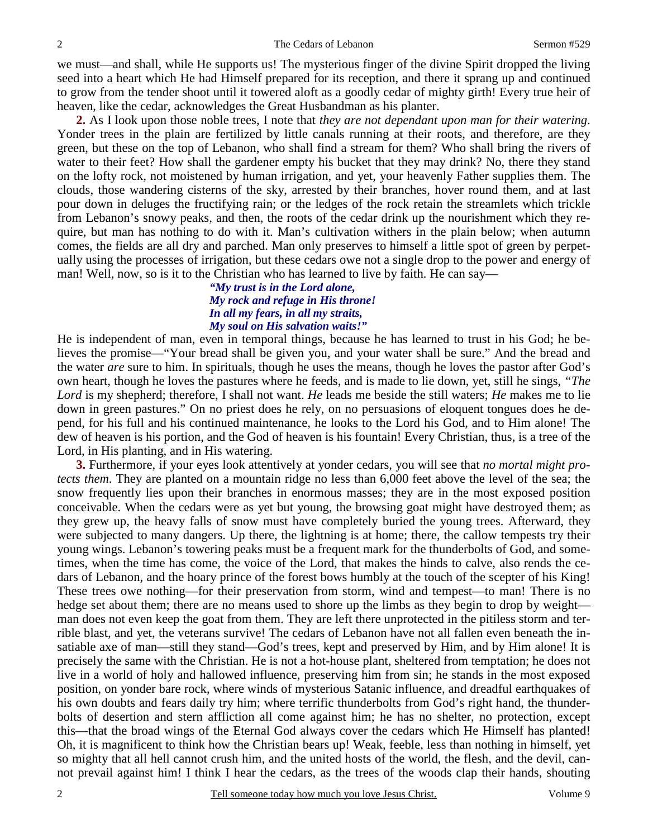we must—and shall, while He supports us! The mysterious finger of the divine Spirit dropped the living seed into a heart which He had Himself prepared for its reception, and there it sprang up and continued to grow from the tender shoot until it towered aloft as a goodly cedar of mighty girth! Every true heir of heaven, like the cedar, acknowledges the Great Husbandman as his planter.

**2.** As I look upon those noble trees, I note that *they are not dependant upon man for their watering*. Yonder trees in the plain are fertilized by little canals running at their roots, and therefore, are they green, but these on the top of Lebanon, who shall find a stream for them? Who shall bring the rivers of water to their feet? How shall the gardener empty his bucket that they may drink? No, there they stand on the lofty rock, not moistened by human irrigation, and yet, your heavenly Father supplies them. The clouds, those wandering cisterns of the sky, arrested by their branches, hover round them, and at last pour down in deluges the fructifying rain; or the ledges of the rock retain the streamlets which trickle from Lebanon's snowy peaks, and then, the roots of the cedar drink up the nourishment which they require, but man has nothing to do with it. Man's cultivation withers in the plain below; when autumn comes, the fields are all dry and parched. Man only preserves to himself a little spot of green by perpetually using the processes of irrigation, but these cedars owe not a single drop to the power and energy of man! Well, now, so is it to the Christian who has learned to live by faith. He can say—

### *"My trust is in the Lord alone, My rock and refuge in His throne! In all my fears, in all my straits, My soul on His salvation waits!"*

He is independent of man, even in temporal things, because he has learned to trust in his God; he believes the promise—"Your bread shall be given you, and your water shall be sure." And the bread and the water *are* sure to him. In spirituals, though he uses the means, though he loves the pastor after God's own heart, though he loves the pastures where he feeds, and is made to lie down, yet, still he sings, *"The Lord* is my shepherd; therefore, I shall not want. *He* leads me beside the still waters; *He* makes me to lie down in green pastures." On no priest does he rely, on no persuasions of eloquent tongues does he depend, for his full and his continued maintenance, he looks to the Lord his God, and to Him alone! The dew of heaven is his portion, and the God of heaven is his fountain! Every Christian, thus, is a tree of the Lord, in His planting, and in His watering.

**3.** Furthermore, if your eyes look attentively at yonder cedars, you will see that *no mortal might protects them*. They are planted on a mountain ridge no less than 6,000 feet above the level of the sea; the snow frequently lies upon their branches in enormous masses; they are in the most exposed position conceivable. When the cedars were as yet but young, the browsing goat might have destroyed them; as they grew up, the heavy falls of snow must have completely buried the young trees. Afterward, they were subjected to many dangers. Up there, the lightning is at home; there, the callow tempests try their young wings. Lebanon's towering peaks must be a frequent mark for the thunderbolts of God, and sometimes, when the time has come, the voice of the Lord, that makes the hinds to calve, also rends the cedars of Lebanon, and the hoary prince of the forest bows humbly at the touch of the scepter of his King! These trees owe nothing—for their preservation from storm, wind and tempest—to man! There is no hedge set about them; there are no means used to shore up the limbs as they begin to drop by weight man does not even keep the goat from them. They are left there unprotected in the pitiless storm and terrible blast, and yet, the veterans survive! The cedars of Lebanon have not all fallen even beneath the insatiable axe of man—still they stand—God's trees, kept and preserved by Him, and by Him alone! It is precisely the same with the Christian. He is not a hot-house plant, sheltered from temptation; he does not live in a world of holy and hallowed influence, preserving him from sin; he stands in the most exposed position, on yonder bare rock, where winds of mysterious Satanic influence, and dreadful earthquakes of his own doubts and fears daily try him; where terrific thunderbolts from God's right hand, the thunderbolts of desertion and stern affliction all come against him; he has no shelter, no protection, except this—that the broad wings of the Eternal God always cover the cedars which He Himself has planted! Oh, it is magnificent to think how the Christian bears up! Weak, feeble, less than nothing in himself, yet so mighty that all hell cannot crush him, and the united hosts of the world, the flesh, and the devil, cannot prevail against him! I think I hear the cedars, as the trees of the woods clap their hands, shouting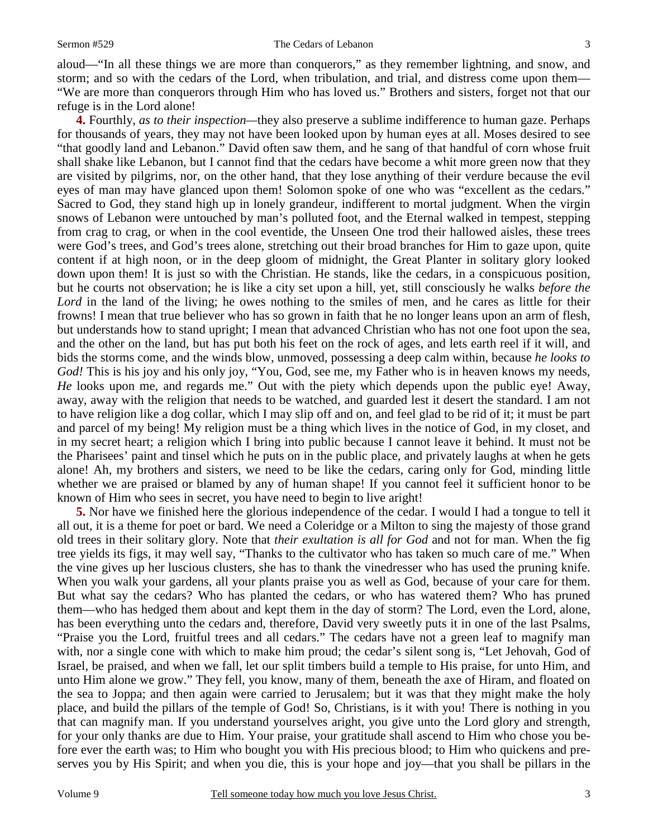aloud—"In all these things we are more than conquerors," as they remember lightning, and snow, and storm; and so with the cedars of the Lord, when tribulation, and trial, and distress come upon them— "We are more than conquerors through Him who has loved us." Brothers and sisters, forget not that our refuge is in the Lord alone!

**4.** Fourthly, *as to their inspection—*they also preserve a sublime indifference to human gaze. Perhaps for thousands of years, they may not have been looked upon by human eyes at all. Moses desired to see "that goodly land and Lebanon." David often saw them, and he sang of that handful of corn whose fruit shall shake like Lebanon, but I cannot find that the cedars have become a whit more green now that they are visited by pilgrims, nor, on the other hand, that they lose anything of their verdure because the evil eyes of man may have glanced upon them! Solomon spoke of one who was "excellent as the cedars." Sacred to God, they stand high up in lonely grandeur, indifferent to mortal judgment. When the virgin snows of Lebanon were untouched by man's polluted foot, and the Eternal walked in tempest, stepping from crag to crag, or when in the cool eventide, the Unseen One trod their hallowed aisles, these trees were God's trees, and God's trees alone, stretching out their broad branches for Him to gaze upon, quite content if at high noon, or in the deep gloom of midnight, the Great Planter in solitary glory looked down upon them! It is just so with the Christian. He stands, like the cedars, in a conspicuous position, but he courts not observation; he is like a city set upon a hill, yet, still consciously he walks *before the*  Lord in the land of the living; he owes nothing to the smiles of men, and he cares as little for their frowns! I mean that true believer who has so grown in faith that he no longer leans upon an arm of flesh, but understands how to stand upright; I mean that advanced Christian who has not one foot upon the sea, and the other on the land, but has put both his feet on the rock of ages, and lets earth reel if it will, and bids the storms come, and the winds blow, unmoved, possessing a deep calm within, because *he looks to God!* This is his joy and his only joy, "You, God, see me, my Father who is in heaven knows my needs, *He* looks upon me, and regards me." Out with the piety which depends upon the public eye! Away, away, away with the religion that needs to be watched, and guarded lest it desert the standard. I am not to have religion like a dog collar, which I may slip off and on, and feel glad to be rid of it; it must be part and parcel of my being! My religion must be a thing which lives in the notice of God, in my closet, and in my secret heart; a religion which I bring into public because I cannot leave it behind. It must not be the Pharisees' paint and tinsel which he puts on in the public place, and privately laughs at when he gets alone! Ah, my brothers and sisters, we need to be like the cedars, caring only for God, minding little whether we are praised or blamed by any of human shape! If you cannot feel it sufficient honor to be known of Him who sees in secret, you have need to begin to live aright!

**5.** Nor have we finished here the glorious independence of the cedar. I would I had a tongue to tell it all out, it is a theme for poet or bard. We need a Coleridge or a Milton to sing the majesty of those grand old trees in their solitary glory. Note that *their exultation is all for God* and not for man. When the fig tree yields its figs, it may well say, "Thanks to the cultivator who has taken so much care of me." When the vine gives up her luscious clusters, she has to thank the vinedresser who has used the pruning knife. When you walk your gardens, all your plants praise you as well as God, because of your care for them. But what say the cedars? Who has planted the cedars, or who has watered them? Who has pruned them—who has hedged them about and kept them in the day of storm? The Lord, even the Lord, alone, has been everything unto the cedars and, therefore, David very sweetly puts it in one of the last Psalms, "Praise you the Lord, fruitful trees and all cedars." The cedars have not a green leaf to magnify man with, nor a single cone with which to make him proud; the cedar's silent song is, "Let Jehovah, God of Israel, be praised, and when we fall, let our split timbers build a temple to His praise, for unto Him, and unto Him alone we grow." They fell, you know, many of them, beneath the axe of Hiram, and floated on the sea to Joppa; and then again were carried to Jerusalem; but it was that they might make the holy place, and build the pillars of the temple of God! So, Christians, is it with you! There is nothing in you that can magnify man. If you understand yourselves aright, you give unto the Lord glory and strength, for your only thanks are due to Him. Your praise, your gratitude shall ascend to Him who chose you before ever the earth was; to Him who bought you with His precious blood; to Him who quickens and preserves you by His Spirit; and when you die, this is your hope and joy—that you shall be pillars in the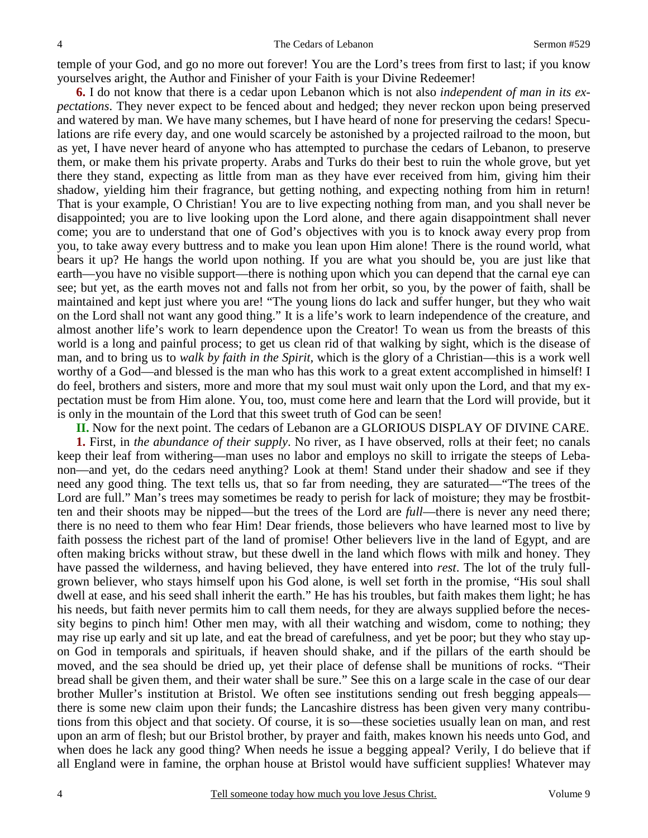temple of your God, and go no more out forever! You are the Lord's trees from first to last; if you know yourselves aright, the Author and Finisher of your Faith is your Divine Redeemer!

**6.** I do not know that there is a cedar upon Lebanon which is not also *independent of man in its expectations*. They never expect to be fenced about and hedged; they never reckon upon being preserved and watered by man. We have many schemes, but I have heard of none for preserving the cedars! Speculations are rife every day, and one would scarcely be astonished by a projected railroad to the moon, but as yet, I have never heard of anyone who has attempted to purchase the cedars of Lebanon, to preserve them, or make them his private property. Arabs and Turks do their best to ruin the whole grove, but yet there they stand, expecting as little from man as they have ever received from him, giving him their shadow, yielding him their fragrance, but getting nothing, and expecting nothing from him in return! That is your example, O Christian! You are to live expecting nothing from man, and you shall never be disappointed; you are to live looking upon the Lord alone, and there again disappointment shall never come; you are to understand that one of God's objectives with you is to knock away every prop from you, to take away every buttress and to make you lean upon Him alone! There is the round world, what bears it up? He hangs the world upon nothing. If you are what you should be, you are just like that earth—you have no visible support—there is nothing upon which you can depend that the carnal eye can see; but yet, as the earth moves not and falls not from her orbit, so you, by the power of faith, shall be maintained and kept just where you are! "The young lions do lack and suffer hunger, but they who wait on the Lord shall not want any good thing." It is a life's work to learn independence of the creature, and almost another life's work to learn dependence upon the Creator! To wean us from the breasts of this world is a long and painful process; to get us clean rid of that walking by sight, which is the disease of man, and to bring us to *walk by faith in the Spirit,* which is the glory of a Christian—this is a work well worthy of a God—and blessed is the man who has this work to a great extent accomplished in himself! I do feel, brothers and sisters, more and more that my soul must wait only upon the Lord, and that my expectation must be from Him alone. You, too, must come here and learn that the Lord will provide, but it is only in the mountain of the Lord that this sweet truth of God can be seen!

**II.** Now for the next point. The cedars of Lebanon are a GLORIOUS DISPLAY OF DIVINE CARE.

**1.** First, in *the abundance of their supply*. No river, as I have observed, rolls at their feet; no canals keep their leaf from withering—man uses no labor and employs no skill to irrigate the steeps of Lebanon—and yet, do the cedars need anything? Look at them! Stand under their shadow and see if they need any good thing. The text tells us, that so far from needing, they are saturated—"The trees of the Lord are full." Man's trees may sometimes be ready to perish for lack of moisture; they may be frostbitten and their shoots may be nipped—but the trees of the Lord are *full*—there is never any need there; there is no need to them who fear Him! Dear friends, those believers who have learned most to live by faith possess the richest part of the land of promise! Other believers live in the land of Egypt, and are often making bricks without straw, but these dwell in the land which flows with milk and honey. They have passed the wilderness, and having believed, they have entered into *rest*. The lot of the truly fullgrown believer, who stays himself upon his God alone, is well set forth in the promise, "His soul shall dwell at ease, and his seed shall inherit the earth." He has his troubles, but faith makes them light; he has his needs, but faith never permits him to call them needs, for they are always supplied before the necessity begins to pinch him! Other men may, with all their watching and wisdom, come to nothing; they may rise up early and sit up late, and eat the bread of carefulness, and yet be poor; but they who stay upon God in temporals and spirituals, if heaven should shake, and if the pillars of the earth should be moved, and the sea should be dried up, yet their place of defense shall be munitions of rocks. "Their bread shall be given them, and their water shall be sure." See this on a large scale in the case of our dear brother Muller's institution at Bristol. We often see institutions sending out fresh begging appeals there is some new claim upon their funds; the Lancashire distress has been given very many contributions from this object and that society. Of course, it is so—these societies usually lean on man, and rest upon an arm of flesh; but our Bristol brother, by prayer and faith, makes known his needs unto God, and when does he lack any good thing? When needs he issue a begging appeal? Verily, I do believe that if all England were in famine, the orphan house at Bristol would have sufficient supplies! Whatever may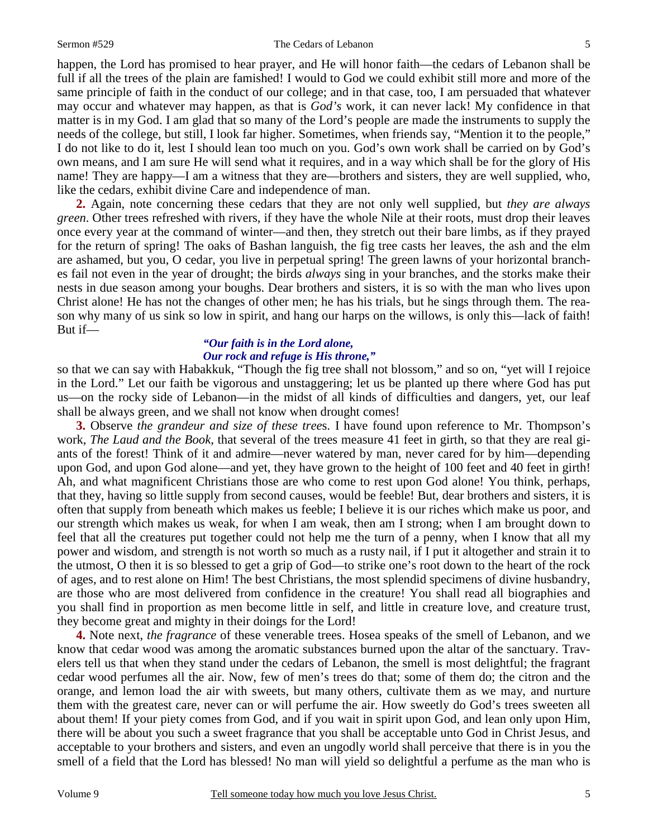#### Sermon #529 The Cedars of Lebanon

happen, the Lord has promised to hear prayer, and He will honor faith—the cedars of Lebanon shall be full if all the trees of the plain are famished! I would to God we could exhibit still more and more of the same principle of faith in the conduct of our college; and in that case, too, I am persuaded that whatever may occur and whatever may happen, as that is *God's* work, it can never lack! My confidence in that matter is in my God. I am glad that so many of the Lord's people are made the instruments to supply the needs of the college, but still, I look far higher. Sometimes, when friends say, "Mention it to the people," I do not like to do it, lest I should lean too much on you. God's own work shall be carried on by God's own means, and I am sure He will send what it requires, and in a way which shall be for the glory of His name! They are happy—I am a witness that they are—brothers and sisters, they are well supplied, who, like the cedars, exhibit divine Care and independence of man.

**2.** Again, note concerning these cedars that they are not only well supplied, but *they are always green*. Other trees refreshed with rivers, if they have the whole Nile at their roots, must drop their leaves once every year at the command of winter—and then, they stretch out their bare limbs, as if they prayed for the return of spring! The oaks of Bashan languish, the fig tree casts her leaves, the ash and the elm are ashamed, but you, O cedar, you live in perpetual spring! The green lawns of your horizontal branches fail not even in the year of drought; the birds *always* sing in your branches, and the storks make their nests in due season among your boughs. Dear brothers and sisters, it is so with the man who lives upon Christ alone! He has not the changes of other men; he has his trials, but he sings through them. The reason why many of us sink so low in spirit, and hang our harps on the willows, is only this—lack of faith! But if—

# *"Our faith is in the Lord alone, Our rock and refuge is His throne,"*

so that we can say with Habakkuk, "Though the fig tree shall not blossom," and so on, "yet will I rejoice in the Lord." Let our faith be vigorous and unstaggering; let us be planted up there where God has put us—on the rocky side of Lebanon—in the midst of all kinds of difficulties and dangers, yet, our leaf shall be always green, and we shall not know when drought comes!

**3.** Observe *the grandeur and size of these tree*s. I have found upon reference to Mr. Thompson's work, *The Laud and the Book*, that several of the trees measure 41 feet in girth, so that they are real giants of the forest! Think of it and admire—never watered by man, never cared for by him—depending upon God, and upon God alone—and yet, they have grown to the height of 100 feet and 40 feet in girth! Ah, and what magnificent Christians those are who come to rest upon God alone! You think, perhaps, that they, having so little supply from second causes, would be feeble! But, dear brothers and sisters, it is often that supply from beneath which makes us feeble; I believe it is our riches which make us poor, and our strength which makes us weak, for when I am weak, then am I strong; when I am brought down to feel that all the creatures put together could not help me the turn of a penny, when I know that all my power and wisdom, and strength is not worth so much as a rusty nail, if I put it altogether and strain it to the utmost, O then it is so blessed to get a grip of God—to strike one's root down to the heart of the rock of ages, and to rest alone on Him! The best Christians, the most splendid specimens of divine husbandry, are those who are most delivered from confidence in the creature! You shall read all biographies and you shall find in proportion as men become little in self, and little in creature love, and creature trust, they become great and mighty in their doings for the Lord!

**4.** Note next, *the fragrance* of these venerable trees. Hosea speaks of the smell of Lebanon, and we know that cedar wood was among the aromatic substances burned upon the altar of the sanctuary. Travelers tell us that when they stand under the cedars of Lebanon, the smell is most delightful; the fragrant cedar wood perfumes all the air. Now, few of men's trees do that; some of them do; the citron and the orange, and lemon load the air with sweets, but many others, cultivate them as we may, and nurture them with the greatest care, never can or will perfume the air. How sweetly do God's trees sweeten all about them! If your piety comes from God, and if you wait in spirit upon God, and lean only upon Him, there will be about you such a sweet fragrance that you shall be acceptable unto God in Christ Jesus, and acceptable to your brothers and sisters, and even an ungodly world shall perceive that there is in you the smell of a field that the Lord has blessed! No man will yield so delightful a perfume as the man who is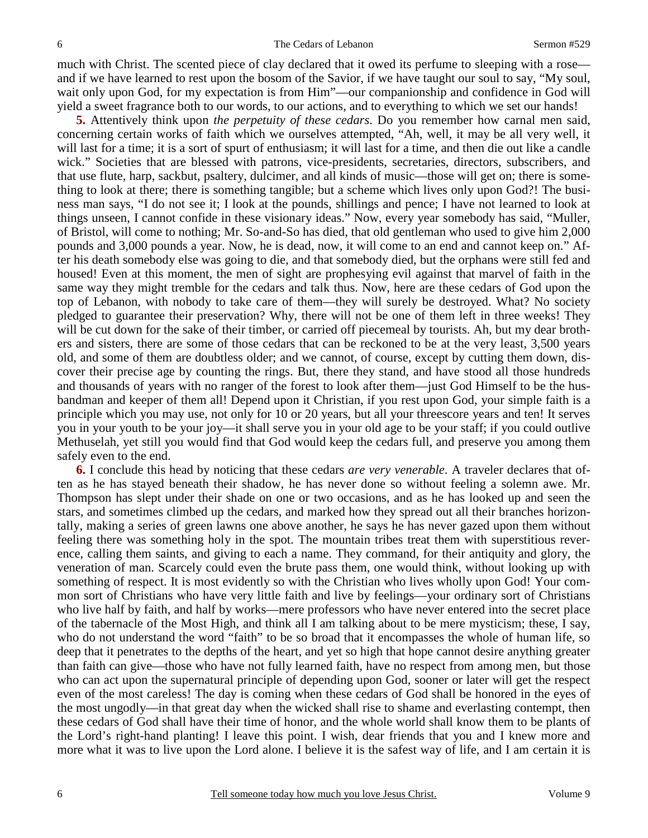much with Christ. The scented piece of clay declared that it owed its perfume to sleeping with a rose and if we have learned to rest upon the bosom of the Savior, if we have taught our soul to say, "My soul, wait only upon God, for my expectation is from Him"—our companionship and confidence in God will yield a sweet fragrance both to our words, to our actions, and to everything to which we set our hands!

**5.** Attentively think upon *the perpetuity of these cedars*. Do you remember how carnal men said, concerning certain works of faith which we ourselves attempted, "Ah, well, it may be all very well, it will last for a time; it is a sort of spurt of enthusiasm; it will last for a time, and then die out like a candle wick." Societies that are blessed with patrons, vice-presidents, secretaries, directors, subscribers, and that use flute, harp, sackbut, psaltery, dulcimer, and all kinds of music—those will get on; there is something to look at there; there is something tangible; but a scheme which lives only upon God?! The business man says, "I do not see it; I look at the pounds, shillings and pence; I have not learned to look at things unseen, I cannot confide in these visionary ideas." Now, every year somebody has said, "Muller, of Bristol, will come to nothing; Mr. So-and-So has died, that old gentleman who used to give him 2,000 pounds and 3,000 pounds a year. Now, he is dead, now, it will come to an end and cannot keep on." After his death somebody else was going to die, and that somebody died, but the orphans were still fed and housed! Even at this moment, the men of sight are prophesying evil against that marvel of faith in the same way they might tremble for the cedars and talk thus. Now, here are these cedars of God upon the top of Lebanon, with nobody to take care of them—they will surely be destroyed. What? No society pledged to guarantee their preservation? Why, there will not be one of them left in three weeks! They will be cut down for the sake of their timber, or carried off piecemeal by tourists. Ah, but my dear brothers and sisters, there are some of those cedars that can be reckoned to be at the very least, 3,500 years old, and some of them are doubtless older; and we cannot, of course, except by cutting them down, discover their precise age by counting the rings. But, there they stand, and have stood all those hundreds and thousands of years with no ranger of the forest to look after them—just God Himself to be the husbandman and keeper of them all! Depend upon it Christian, if you rest upon God, your simple faith is a principle which you may use, not only for 10 or 20 years, but all your threescore years and ten! It serves you in your youth to be your joy—it shall serve you in your old age to be your staff; if you could outlive Methuselah, yet still you would find that God would keep the cedars full, and preserve you among them safely even to the end.

**6.** I conclude this head by noticing that these cedars *are very venerable*. A traveler declares that often as he has stayed beneath their shadow, he has never done so without feeling a solemn awe. Mr. Thompson has slept under their shade on one or two occasions, and as he has looked up and seen the stars, and sometimes climbed up the cedars, and marked how they spread out all their branches horizontally, making a series of green lawns one above another, he says he has never gazed upon them without feeling there was something holy in the spot. The mountain tribes treat them with superstitious reverence, calling them saints, and giving to each a name. They command, for their antiquity and glory, the veneration of man. Scarcely could even the brute pass them, one would think, without looking up with something of respect. It is most evidently so with the Christian who lives wholly upon God! Your common sort of Christians who have very little faith and live by feelings—your ordinary sort of Christians who live half by faith, and half by works—mere professors who have never entered into the secret place of the tabernacle of the Most High, and think all I am talking about to be mere mysticism; these, I say, who do not understand the word "faith" to be so broad that it encompasses the whole of human life, so deep that it penetrates to the depths of the heart, and yet so high that hope cannot desire anything greater than faith can give—those who have not fully learned faith, have no respect from among men, but those who can act upon the supernatural principle of depending upon God, sooner or later will get the respect even of the most careless! The day is coming when these cedars of God shall be honored in the eyes of the most ungodly—in that great day when the wicked shall rise to shame and everlasting contempt, then these cedars of God shall have their time of honor, and the whole world shall know them to be plants of the Lord's right-hand planting! I leave this point. I wish, dear friends that you and I knew more and more what it was to live upon the Lord alone. I believe it is the safest way of life, and I am certain it is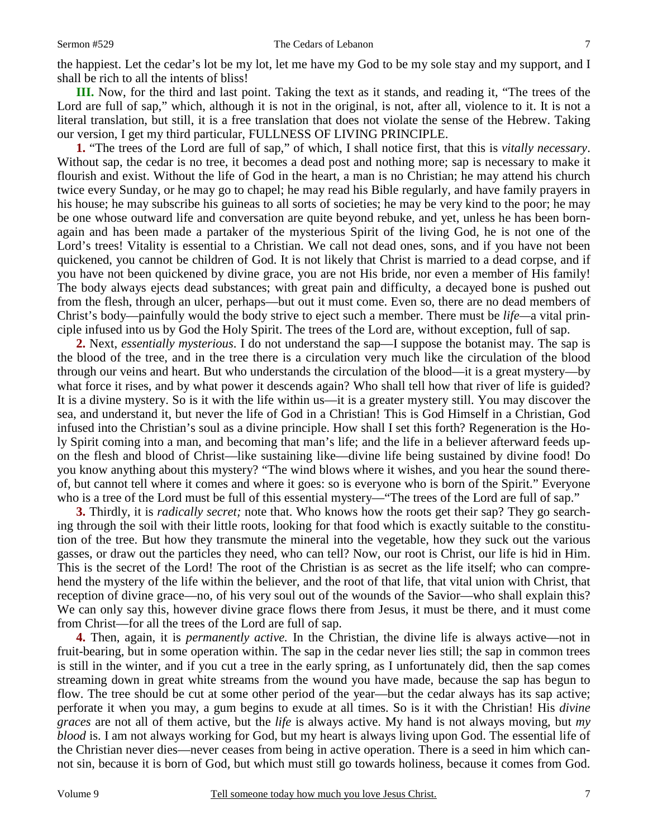the happiest. Let the cedar's lot be my lot, let me have my God to be my sole stay and my support, and I shall be rich to all the intents of bliss!

**III.** Now, for the third and last point. Taking the text as it stands, and reading it, "The trees of the Lord are full of sap," which, although it is not in the original, is not, after all, violence to it. It is not a literal translation, but still, it is a free translation that does not violate the sense of the Hebrew. Taking our version, I get my third particular, FULLNESS OF LIVING PRINCIPLE.

**1.** "The trees of the Lord are full of sap," of which, I shall notice first, that this is *vitally necessary*. Without sap, the cedar is no tree, it becomes a dead post and nothing more; sap is necessary to make it flourish and exist. Without the life of God in the heart, a man is no Christian; he may attend his church twice every Sunday, or he may go to chapel; he may read his Bible regularly, and have family prayers in his house; he may subscribe his guineas to all sorts of societies; he may be very kind to the poor; he may be one whose outward life and conversation are quite beyond rebuke, and yet, unless he has been bornagain and has been made a partaker of the mysterious Spirit of the living God, he is not one of the Lord's trees! Vitality is essential to a Christian. We call not dead ones, sons, and if you have not been quickened, you cannot be children of God. It is not likely that Christ is married to a dead corpse, and if you have not been quickened by divine grace, you are not His bride, nor even a member of His family! The body always ejects dead substances; with great pain and difficulty, a decayed bone is pushed out from the flesh, through an ulcer, perhaps—but out it must come. Even so, there are no dead members of Christ's body—painfully would the body strive to eject such a member. There must be *life—*a vital principle infused into us by God the Holy Spirit. The trees of the Lord are, without exception, full of sap.

**2.** Next, *essentially mysterious*. I do not understand the sap—I suppose the botanist may. The sap is the blood of the tree, and in the tree there is a circulation very much like the circulation of the blood through our veins and heart. But who understands the circulation of the blood—it is a great mystery—by what force it rises, and by what power it descends again? Who shall tell how that river of life is guided? It is a divine mystery. So is it with the life within us—it is a greater mystery still. You may discover the sea, and understand it, but never the life of God in a Christian! This is God Himself in a Christian, God infused into the Christian's soul as a divine principle. How shall I set this forth? Regeneration is the Holy Spirit coming into a man, and becoming that man's life; and the life in a believer afterward feeds upon the flesh and blood of Christ—like sustaining like—divine life being sustained by divine food! Do you know anything about this mystery? "The wind blows where it wishes, and you hear the sound thereof, but cannot tell where it comes and where it goes: so is everyone who is born of the Spirit." Everyone who is a tree of the Lord must be full of this essential mystery—"The trees of the Lord are full of sap."

**3.** Thirdly, it is *radically secret;* note that. Who knows how the roots get their sap? They go searching through the soil with their little roots, looking for that food which is exactly suitable to the constitution of the tree. But how they transmute the mineral into the vegetable, how they suck out the various gasses, or draw out the particles they need, who can tell? Now, our root is Christ, our life is hid in Him. This is the secret of the Lord! The root of the Christian is as secret as the life itself; who can comprehend the mystery of the life within the believer, and the root of that life, that vital union with Christ, that reception of divine grace—no, of his very soul out of the wounds of the Savior—who shall explain this? We can only say this, however divine grace flows there from Jesus, it must be there, and it must come from Christ—for all the trees of the Lord are full of sap.

**4.** Then, again, it is *permanently active.* In the Christian, the divine life is always active—not in fruit-bearing, but in some operation within. The sap in the cedar never lies still; the sap in common trees is still in the winter, and if you cut a tree in the early spring, as I unfortunately did, then the sap comes streaming down in great white streams from the wound you have made, because the sap has begun to flow. The tree should be cut at some other period of the year—but the cedar always has its sap active; perforate it when you may, a gum begins to exude at all times. So is it with the Christian! His *divine graces* are not all of them active, but the *life* is always active. My hand is not always moving, but *my blood* is. I am not always working for God, but my heart is always living upon God. The essential life of the Christian never dies—never ceases from being in active operation. There is a seed in him which cannot sin, because it is born of God, but which must still go towards holiness, because it comes from God.